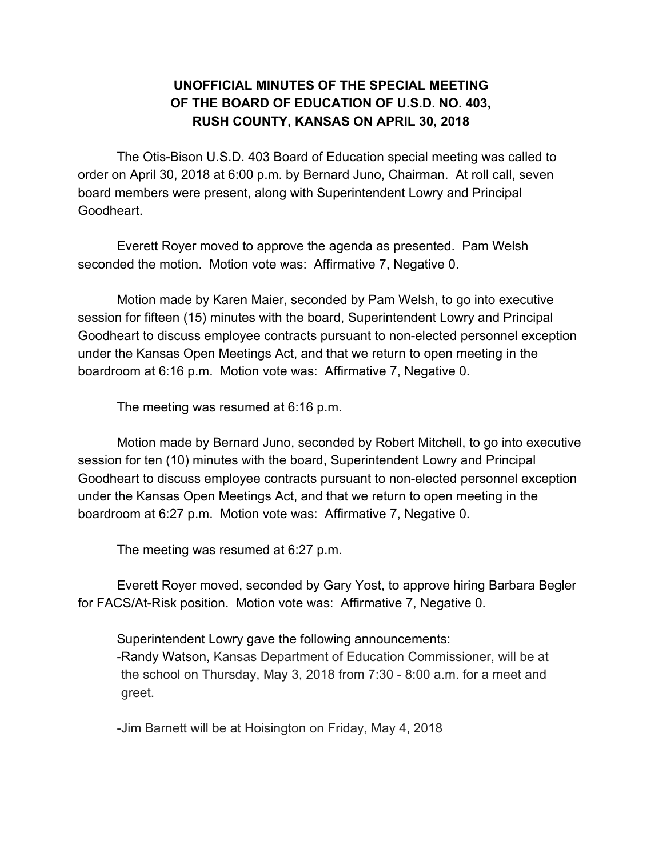## **UNOFFICIAL MINUTES OF THE SPECIAL MEETING OF THE BOARD OF EDUCATION OF U.S.D. NO. 403, RUSH COUNTY, KANSAS ON APRIL 30, 2018**

The Otis-Bison U.S.D. 403 Board of Education special meeting was called to order on April 30, 2018 at 6:00 p.m. by Bernard Juno, Chairman. At roll call, seven board members were present, along with Superintendent Lowry and Principal Goodheart.

Everett Royer moved to approve the agenda as presented. Pam Welsh seconded the motion. Motion vote was: Affirmative 7, Negative 0.

Motion made by Karen Maier, seconded by Pam Welsh, to go into executive session for fifteen (15) minutes with the board, Superintendent Lowry and Principal Goodheart to discuss employee contracts pursuant to non-elected personnel exception under the Kansas Open Meetings Act, and that we return to open meeting in the boardroom at 6:16 p.m. Motion vote was: Affirmative 7, Negative 0.

The meeting was resumed at 6:16 p.m.

Motion made by Bernard Juno, seconded by Robert Mitchell, to go into executive session for ten (10) minutes with the board, Superintendent Lowry and Principal Goodheart to discuss employee contracts pursuant to non-elected personnel exception under the Kansas Open Meetings Act, and that we return to open meeting in the boardroom at 6:27 p.m. Motion vote was: Affirmative 7, Negative 0.

The meeting was resumed at 6:27 p.m.

Everett Royer moved, seconded by Gary Yost, to approve hiring Barbara Begler for FACS/At-Risk position. Motion vote was: Affirmative 7, Negative 0.

Superintendent Lowry gave the following announcements: -Randy Watson, Kansas Department of Education Commissioner, will be at the school on Thursday, May 3, 2018 from 7:30 - 8:00 a.m. for a meet and greet.

-Jim Barnett will be at Hoisington on Friday, May 4, 2018